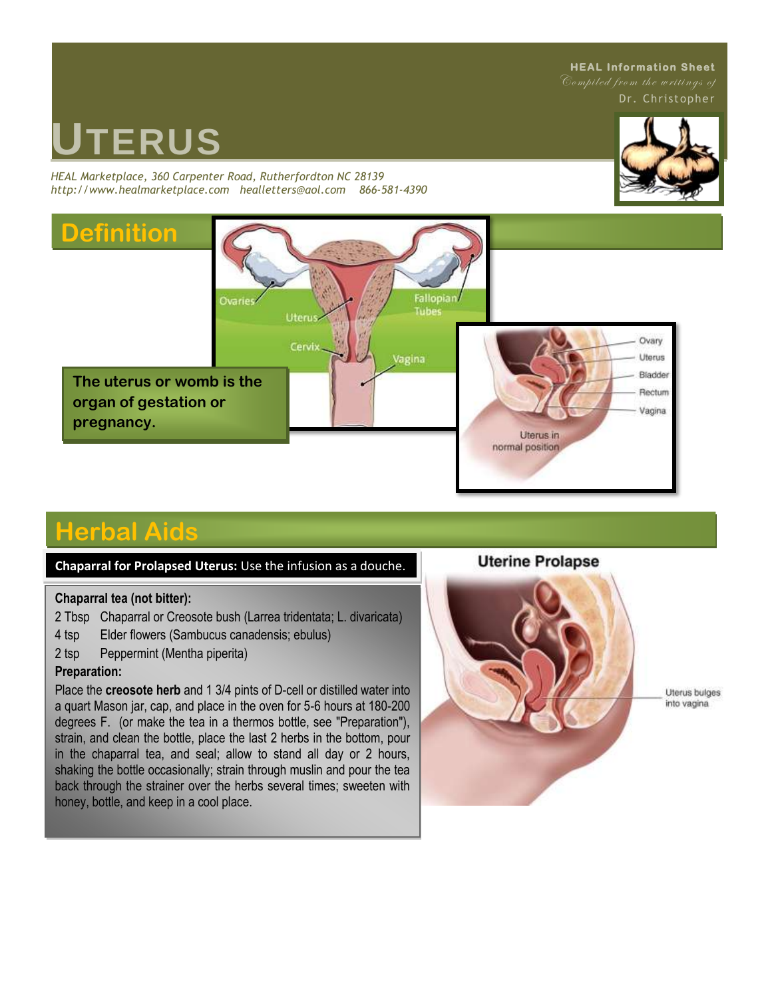#### **HEAL Information Sheet**

Dr. Christopher

# **UTERUS**

*HEAL Marketplace, 360 Carpenter Road, Rutherfordton NC 28139 http://www.healmarketplace.com healletters@aol.com 866-581-4390*





# **Herbal Aids**

#### **Chaparral for Prolapsed Uterus:** Use the infusion as a douche.

#### **Chaparral tea (not bitter):**

2 Tbsp Chaparral or Creosote bush (Larrea tridentata; L. divaricata)

- 4 tsp Elder flowers (Sambucus canadensis; ebulus)
- 2 tsp Peppermint (Mentha piperita)

#### **Preparation:**

Place the **creosote herb** and 1 3/4 pints of D-cell or distilled water into a quart Mason jar, cap, and place in the oven for 5-6 hours at 180-200 degrees F. (or make the tea in a thermos bottle, see "Preparation"), strain, and clean the bottle, place the last 2 herbs in the bottom, pour in the chaparral tea, and seal; allow to stand all day or 2 hours, shaking the bottle occasionally; strain through muslin and pour the tea back through the strainer over the herbs several times; sweeten with honey, bottle, and keep in a cool place.

#### **Uterine Prolapse**



Uterus bulges into vagina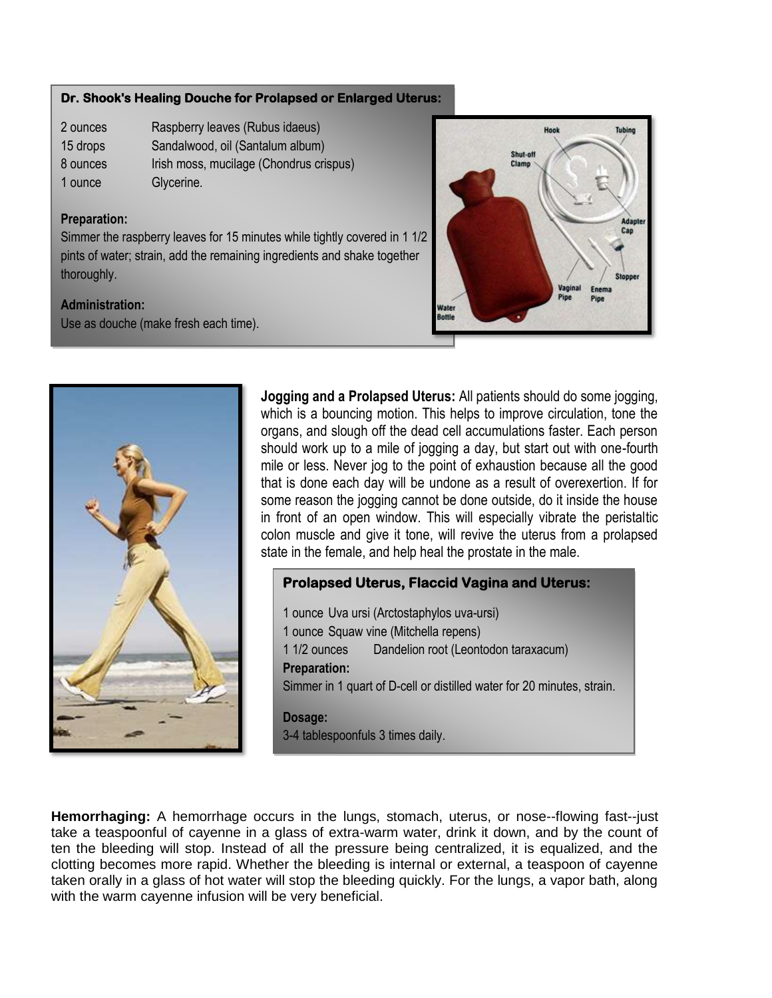#### **Dr. Shook's Healing Douche for Prolapsed or Enlarged Uterus: Dr. Shook's Healing Douche for Prolapsed or Enlarged Uterus:**

- 2 ounces Raspberry leaves (Rubus idaeus) 2 ounces Raspberry leaves (Rubus idaeus)
- 15 drops Sandalwood, oil (Santalum album) 15 drops Sandalwood, oil (Santalum album)
- 8 ounces Irish moss, mucilage (Chondrus crispus)
- 1 ounce Glycerine.

## Preparation: **Preparation:**

pints of water; strain, add the remaining ingredients and shake together 1 1/2 pints of water; strain, and the remaining ingredients and the remaining ingredients and the remaining in Simmer the raspberry leaves for 15 minutes while tightly covered in 1 1/2

#### **Administration:**

Use as douche (make fresh each time).





**Jogging and a Prolapsed Uterus:** All patients should do some jogging, which is a bouncing motion. This helps to improve circulation, tone the organs, and slough off the dead cell accumulations faster. Each person should work up to a mile of jogging a day, but start out with one-fourth mile or less. Never jog to the point of exhaustion because all the good that is done each day will be undone as a result of overexertion. If for some reason the jogging cannot be done outside, do it inside the house in front of an open window. This will especially vibrate the peristaltic colon muscle and give it tone, will revive the uterus from a prolapsed state in the female, and help heal the prostate in the male.

#### **Prolapsed Uterus, Flaccid Vagina and Uterus:**

1 ounce Uva ursi (Arctostaphylos uva-ursi) 1 ounce Squaw vine (Mitchella repens) 1 1/2 ounces Dandelion root (Leontodon taraxacum) **Preparation:** Simmer in 1 quart of D-cell or distilled water for 20 minutes, strain. **Dosage:**

3-4 tablespoonfuls 3 times daily.

**Hemorrhaging:** A hemorrhage occurs in the lungs, stomach, uterus, or nose--flowing fast--just take a teaspoonful of cayenne in a glass of extra-warm water, drink it down, and by the count of ten the bleeding will stop. Instead of all the pressure being centralized, it is equalized, and the clotting becomes more rapid. Whether the bleeding is internal or external, a teaspoon of cayenne taken orally in a glass of hot water will stop the bleeding quickly. For the lungs, a vapor bath, along with the warm cayenne infusion will be very beneficial.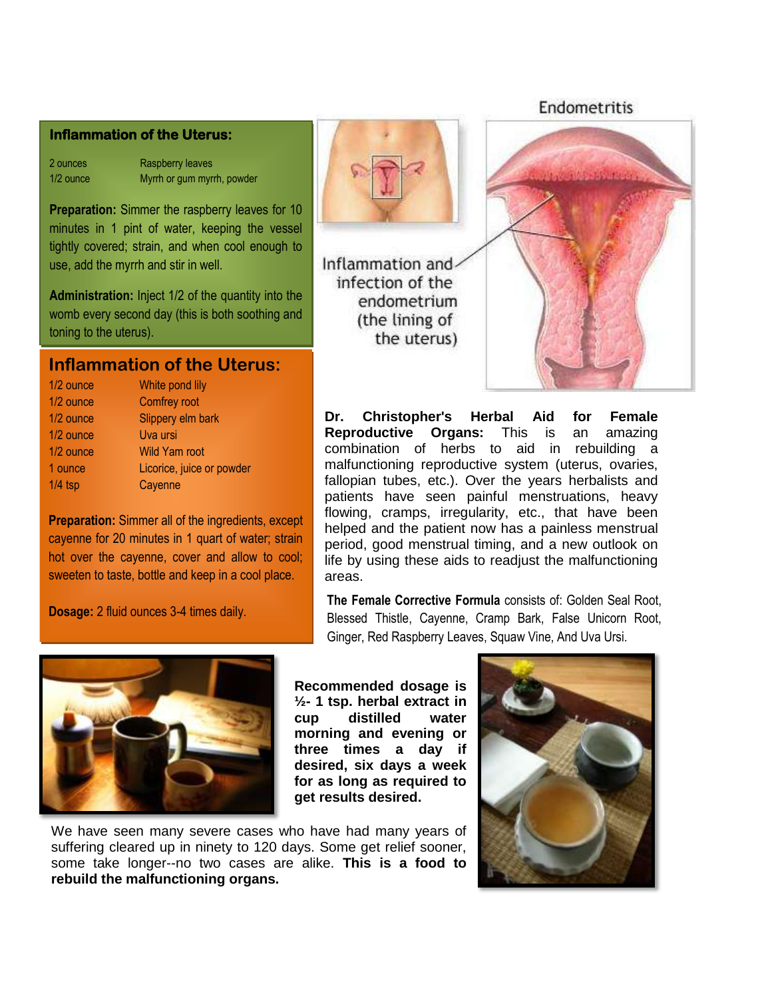#### **Inflammation of the Uterus:**

2 ounces Raspberry leaves 1/2 ounce Myrrh or gum myrrh, powder

**Preparation:** Simmer the raspberry leaves for 10 minutes in 1 pint of water, keeping the vessel tightly covered; strain, and when cool enough to use, add the myrrh and stir in well.

**Administration:** Inject 1/2 of the quantity into the womb every second day (this is both soothing and toning to the uterus).

## **Inflammation of the Uterus:**

| 1/2 ounce | White pond lily           |
|-----------|---------------------------|
| 1/2 ounce | Comfrey root              |
| 1/2 ounce | Slippery elm bark         |
| 1/2 ounce | Uva ursi                  |
| 1/2 ounce | <b>Wild Yam root</b>      |
| 1 ounce   | Licorice, juice or powder |
| $1/4$ tsp | Cayenne                   |
|           |                           |

**Preparation:** Simmer all of the ingredients, except cayenne for 20 minutes in 1 quart of water; strain hot over the cayenne, cover and allow to cool; sweeten to taste, bottle and keep in a cool place.

**Dosage:** 2 fluid ounces 3-4 times daily.



Inflammation and infection of the endometrium (the lining of the uterus)



Endometritis

**Dr. Christopher's Herbal Aid for Female Reproductive Organs:** This is an amazing combination of herbs to aid in rebuilding a malfunctioning reproductive system (uterus, ovaries, fallopian tubes, etc.). Over the years herbalists and patients have seen painful menstruations, heavy flowing, cramps, irregularity, etc., that have been helped and the patient now has a painless menstrual period, good menstrual timing, and a new outlook on life by using these aids to readjust the malfunctioning areas.

**The Female Corrective Formula** consists of: Golden Seal Root, Blessed Thistle, Cayenne, Cramp Bark, False Unicorn Root, Ginger, Red Raspberry Leaves, Squaw Vine, And Uva Ursi.



**Recommended dosage is ½- 1 tsp. herbal extract in cup distilled water morning and evening or three times a day if desired, six days a week for as long as required to get results desired.** 

We have seen many severe cases who have had many years of suffering cleared up in ninety to 120 days. Some get relief sooner, some take longer--no two cases are alike. **This is a food to rebuild the malfunctioning organs.**

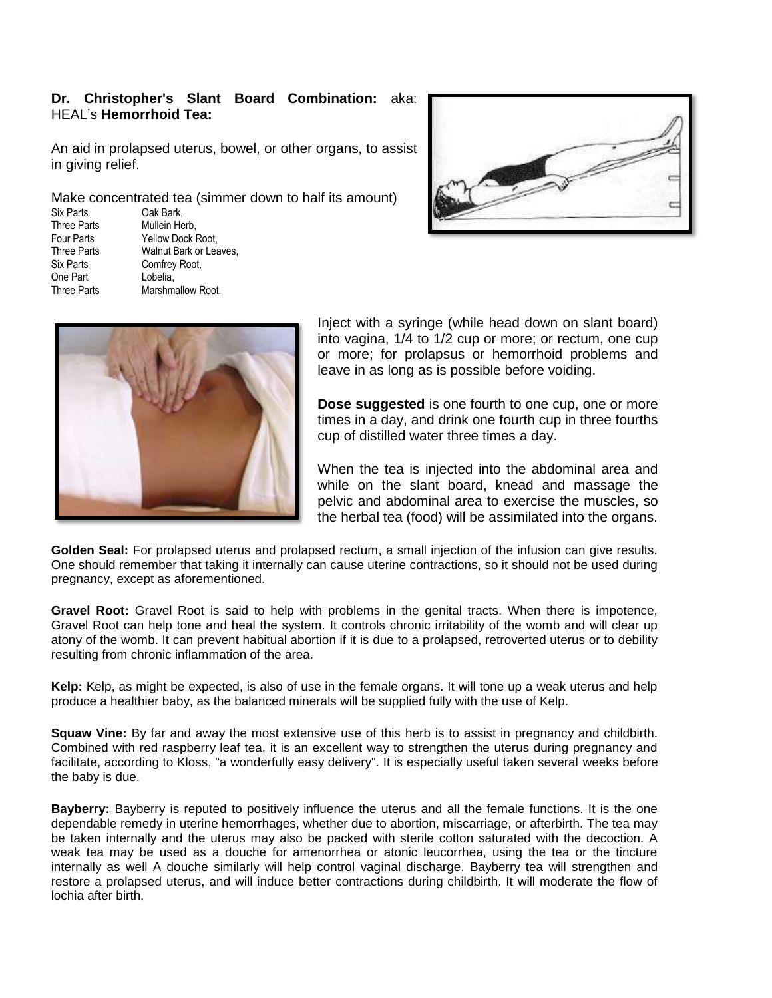#### **Dr. Christopher's Slant Board Combination:** aka: HEAL's **Hemorrhoid Tea:**

An aid in prolapsed uterus, bowel, or other organs, to assist in giving relief.

Make concentrated tea (simmer down to half its amount)

Six Parts **Cak Bark,**<br>
Three Parts Mullein He One Part

Three Parts<br>
Four Parts<br>
Four Parts
Tellow Dock I Four Parts Yellow Dock Root,<br>Three Parts Walnut Bark or Lea Three Parts Walnut Bark or Leaves,<br>Six Parts Comfrey Root Comfrey Root,<br>Lobelia. Three Parts Marshmallow Root.





Inject with a syringe (while head down on slant board) into vagina, 1/4 to 1/2 cup or more; or rectum, one cup or more; for prolapsus or hemorrhoid problems and leave in as long as is possible before voiding.

**Dose suggested** is one fourth to one cup, one or more times in a day, and drink one fourth cup in three fourths cup of distilled water three times a day.

When the tea is injected into the abdominal area and while on the slant board, knead and massage the pelvic and abdominal area to exercise the muscles, so the herbal tea (food) will be assimilated into the organs.

**Golden Seal:** For prolapsed uterus and prolapsed rectum, a small injection of the infusion can give results. One should remember that taking it internally can cause uterine contractions, so it should not be used during pregnancy, except as aforementioned.

**Gravel Root:** Gravel Root is said to help with problems in the genital tracts. When there is impotence, Gravel Root can help tone and heal the system. It controls chronic irritability of the womb and will clear up atony of the womb. It can prevent habitual abortion if it is due to a prolapsed, retroverted uterus or to debility resulting from chronic inflammation of the area.

**Kelp:** Kelp, as might be expected, is also of use in the female organs. It will tone up a weak uterus and help produce a healthier baby, as the balanced minerals will be supplied fully with the use of Kelp.

**Squaw Vine:** By far and away the most extensive use of this herb is to assist in pregnancy and childbirth. Combined with red raspberry leaf tea, it is an excellent way to strengthen the uterus during pregnancy and facilitate, according to Kloss, "a wonderfully easy delivery". It is especially useful taken several weeks before the baby is due.

**Bayberry:** Bayberry is reputed to positively influence the uterus and all the female functions. It is the one dependable remedy in uterine hemorrhages, whether due to abortion, miscarriage, or afterbirth. The tea may be taken internally and the uterus may also be packed with sterile cotton saturated with the decoction. A weak tea may be used as a douche for amenorrhea or atonic leucorrhea, using the tea or the tincture internally as well A douche similarly will help control vaginal discharge. Bayberry tea will strengthen and restore a prolapsed uterus, and will induce better contractions during childbirth. It will moderate the flow of lochia after birth.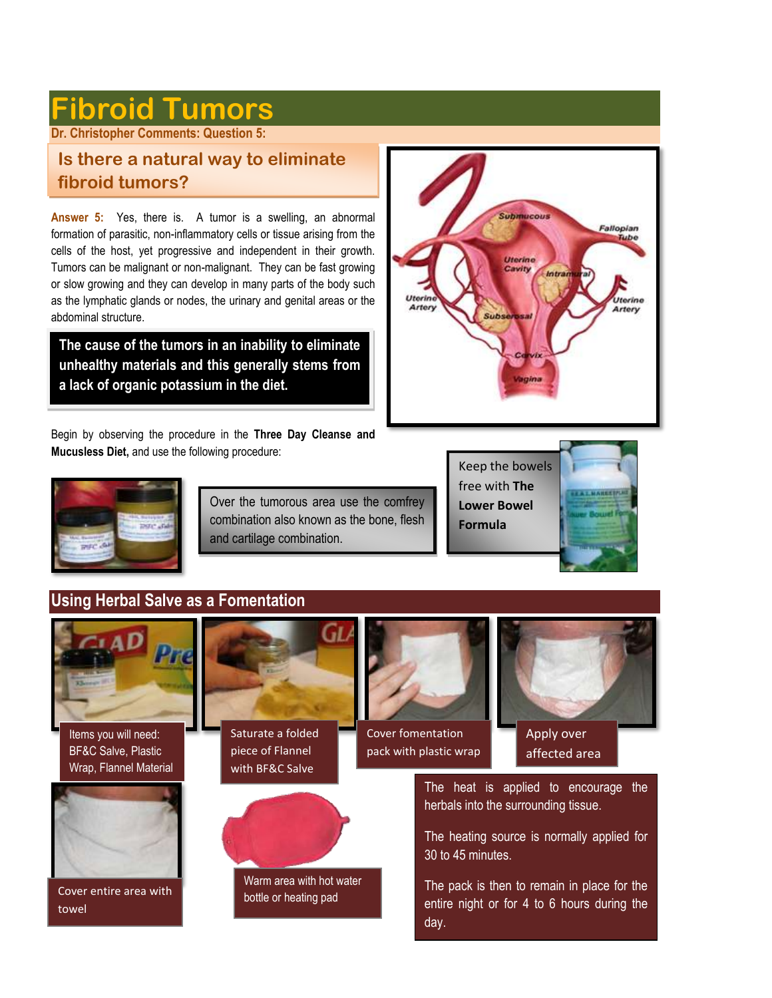# **Fibroid Tumors**

**Dr. Christopher Comments: Question 5:** 

# **Is there a natural way to eliminate fibroid tumors?**

**Answer 5:** Yes, there is. A tumor is a swelling, an abnormal formation of parasitic, non-inflammatory cells or tissue arising from the cells of the host, yet progressive and independent in their growth. Tumors can be malignant or non-malignant. They can be fast growing or slow growing and they can develop in many parts of the body such as the lymphatic glands or nodes, the urinary and genital areas or the abdominal structure.

**The cause of the tumors in an inability to eliminate unhealthy materials and this generally stems from a lack of organic potassium in the diet.**

Begin by observing the procedure in the **Three Day Cleanse and Mucusless Diet,** and use the following procedure:





Over the tumorous area use the comfrey combination also known as the bone, flesh and cartilage combination.





# **Using Herbal Salve as a Fomentation**

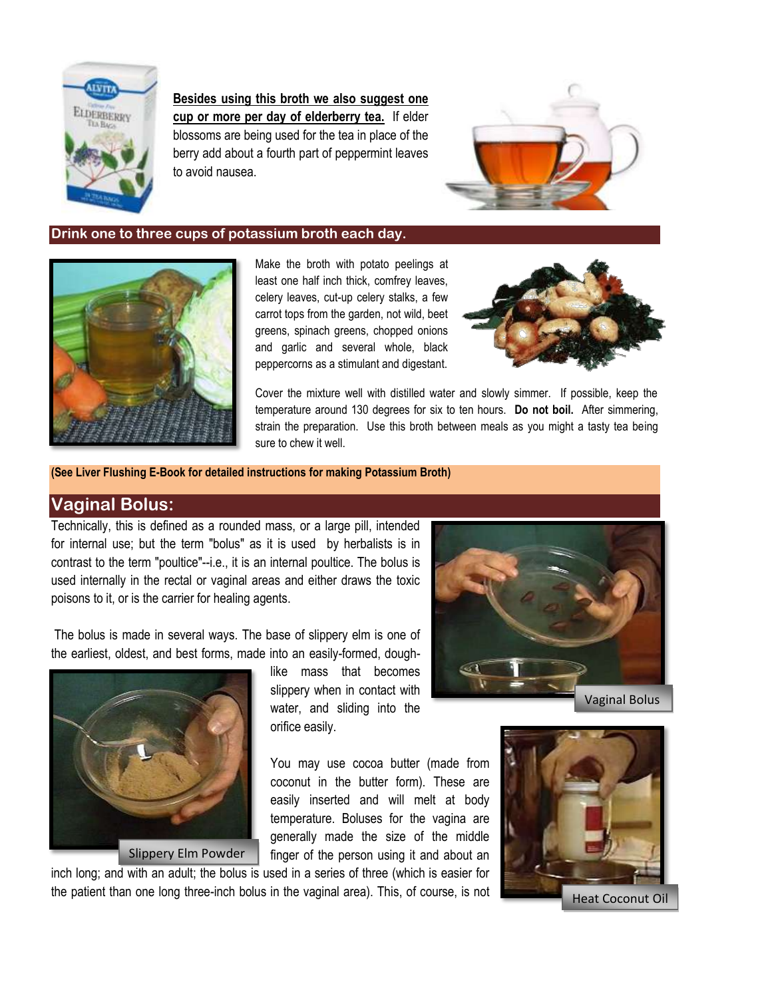

**Besides using this broth we also suggest one cup or more per day of elderberry tea.** If elder blossoms are being used for the tea in place of the berry add about a fourth part of peppermint leaves to avoid nausea.



#### **Drink one to three cups of potassium broth each day.**



Make the broth with potato peelings at least one half inch thick, comfrey leaves, celery leaves, cut-up celery stalks, a few carrot tops from the garden, not wild, beet greens, spinach greens, chopped onions and garlic and several whole, black peppercorns as a stimulant and digestant.



Cover the mixture well with distilled water and slowly simmer. If possible, keep the temperature around 130 degrees for six to ten hours. **Do not boil.** After simmering, strain the preparation. Use this broth between meals as you might a tasty tea being sure to chew it well.

**(See Liver Flushing E-Book for detailed instructions for making Potassium Broth)**

## **Vaginal Bolus:**

Technically, this is defined as a rounded mass, or a large pill, intended for internal use; but the term "bolus" as it is used by herbalists is in contrast to the term "poultice"--i.e., it is an internal poultice. The bolus is used internally in the rectal or vaginal areas and either draws the toxic poisons to it, or is the carrier for healing agents.

The bolus is made in several ways. The base of slippery elm is one of the earliest, oldest, and best forms, made into an easily-formed, dough-



Slippery Elm Powder

like mass that becomes slippery when in contact with water, and sliding into the orifice easily.

Vaginal Bolus

You may use cocoa butter (made from coconut in the butter form). These are easily inserted and will melt at body temperature. Boluses for the vagina are generally made the size of the middle finger of the person using it and about an

inch long; and with an adult; the bolus is used in a series of three (which is easier for the patient than one long three-inch bolus in the vaginal area). This, of course, is not

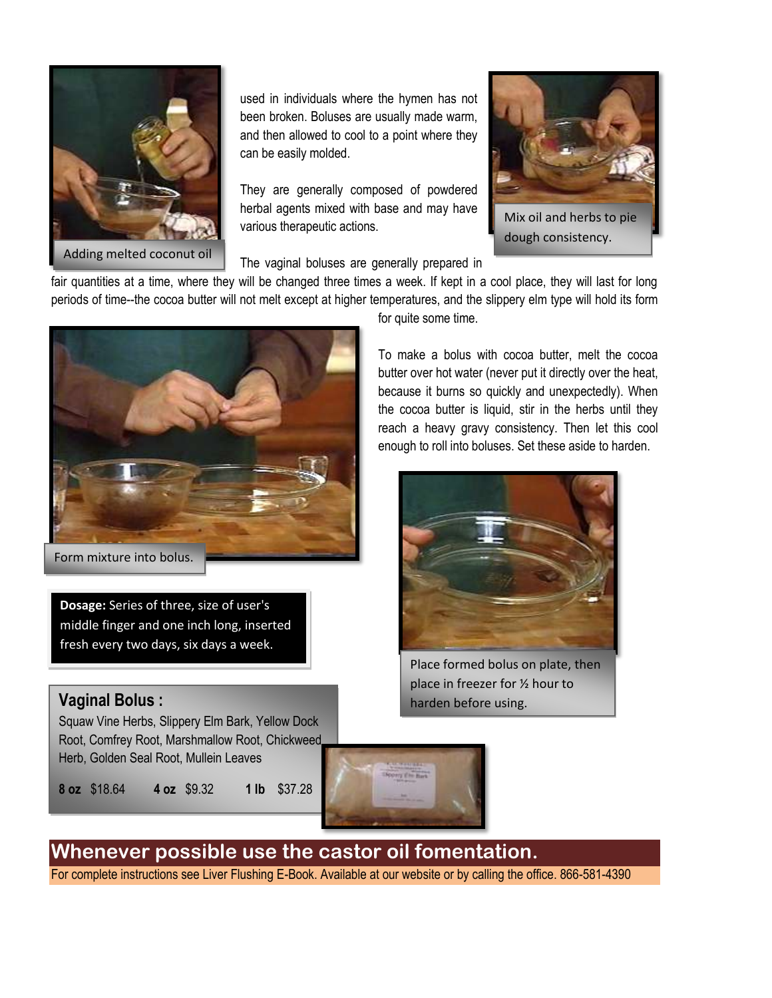

used in individuals where the hymen has not been broken. Boluses are usually made warm, and then allowed to cool to a point where they can be easily molded.

They are generally composed of powdered herbal agents mixed with base and may have various therapeutic actions.



Mix oil and herbs to pie dough consistency.

The vaginal boluses are generally prepared in

fair quantities at a time, where they will be changed three times a week. If kept in a cool place, they will last for long periods of time--the cocoa butter will not melt except at higher temperatures, and the slippery elm type will hold its form



Form mixture into bolus.

**Dosage:** Series of three, size of user's middle finger and one inch long, inserted fresh every two days, six days a week.

# **Vaginal Bolus :**

Squaw Vine Herbs, Slippery Elm Bark, Yellow Dock Root, Comfrey Root, Marshmallow Root, Chickweed Herb, Golden Seal Root, Mullein Leaves

**8 oz** \$18.64 **4 oz** \$9.32 **1 lb** \$37.28

for quite some time.

To make a bolus with cocoa butter, melt the cocoa butter over hot water (never put it directly over the heat, because it burns so quickly and unexpectedly). When the cocoa butter is liquid, stir in the herbs until they reach a heavy gravy consistency. Then let this cool enough to roll into boluses. Set these aside to harden.



Place formed bolus on plate, then place in freezer for ½ hour to harden before using.



**Whenever possible use the castor oil fomentation.**

For complete instructions see Liver Flushing E-Book. Available at our website or by calling the office. 866-581-4390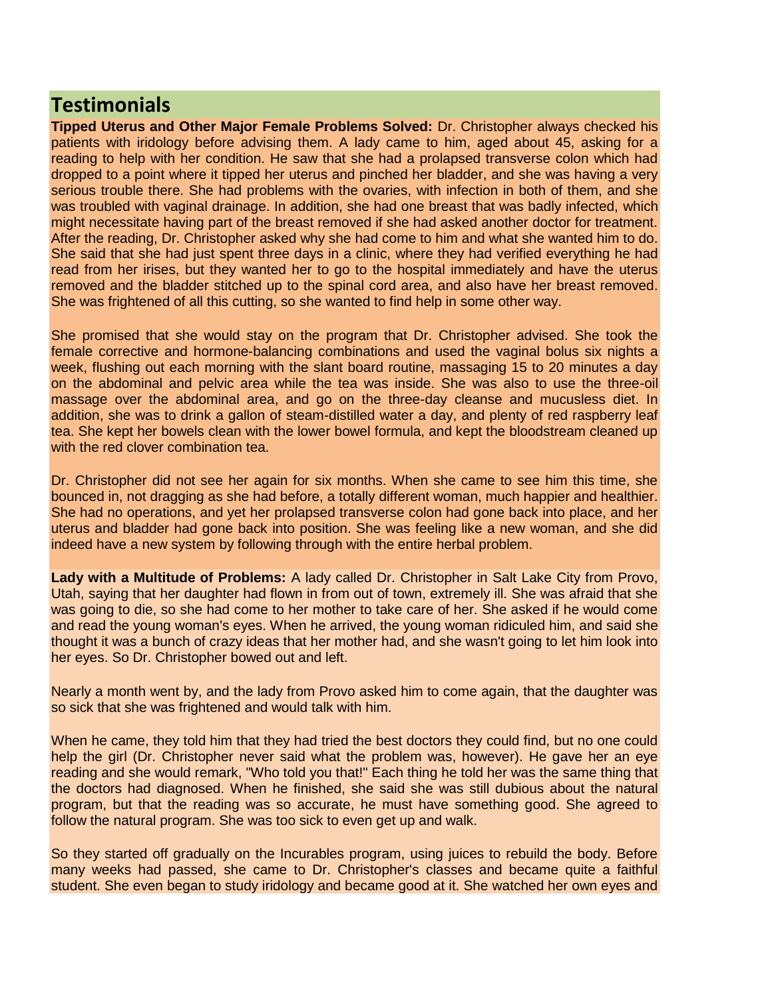# **Testimonials**

**Tipped Uterus and Other Major Female Problems Solved:** Dr. Christopher always checked his patients with iridology before advising them. A lady came to him, aged about 45, asking for a reading to help with her condition. He saw that she had a prolapsed transverse colon which had dropped to a point where it tipped her uterus and pinched her bladder, and she was having a very serious trouble there. She had problems with the ovaries, with infection in both of them, and she was troubled with vaginal drainage. In addition, she had one breast that was badly infected, which might necessitate having part of the breast removed if she had asked another doctor for treatment. After the reading, Dr. Christopher asked why she had come to him and what she wanted him to do. She said that she had just spent three days in a clinic, where they had verified everything he had read from her irises, but they wanted her to go to the hospital immediately and have the uterus removed and the bladder stitched up to the spinal cord area, and also have her breast removed. She was frightened of all this cutting, so she wanted to find help in some other way.

She promised that she would stay on the program that Dr. Christopher advised. She took the female corrective and hormone-balancing combinations and used the vaginal bolus six nights a week, flushing out each morning with the slant board routine, massaging 15 to 20 minutes a day on the abdominal and pelvic area while the tea was inside. She was also to use the three-oil massage over the abdominal area, and go on the three-day cleanse and mucusless diet. In addition, she was to drink a gallon of steam-distilled water a day, and plenty of red raspberry leaf tea. She kept her bowels clean with the lower bowel formula, and kept the bloodstream cleaned up with the red clover combination tea.

Dr. Christopher did not see her again for six months. When she came to see him this time, she bounced in, not dragging as she had before, a totally different woman, much happier and healthier. She had no operations, and yet her prolapsed transverse colon had gone back into place, and her uterus and bladder had gone back into position. She was feeling like a new woman, and she did indeed have a new system by following through with the entire herbal problem.

**Lady with a Multitude of Problems:** A lady called Dr. Christopher in Salt Lake City from Provo, Utah, saying that her daughter had flown in from out of town, extremely ill. She was afraid that she was going to die, so she had come to her mother to take care of her. She asked if he would come and read the young woman's eyes. When he arrived, the young woman ridiculed him, and said she thought it was a bunch of crazy ideas that her mother had, and she wasn't going to let him look into her eyes. So Dr. Christopher bowed out and left.

Nearly a month went by, and the lady from Provo asked him to come again, that the daughter was so sick that she was frightened and would talk with him.

When he came, they told him that they had tried the best doctors they could find, but no one could help the girl (Dr. Christopher never said what the problem was, however). He gave her an eye reading and she would remark, "Who told you that!" Each thing he told her was the same thing that the doctors had diagnosed. When he finished, she said she was still dubious about the natural program, but that the reading was so accurate, he must have something good. She agreed to follow the natural program. She was too sick to even get up and walk.

So they started off gradually on the Incurables program, using juices to rebuild the body. Before many weeks had passed, she came to Dr. Christopher's classes and became quite a faithful student. She even began to study iridology and became good at it. She watched her own eyes and